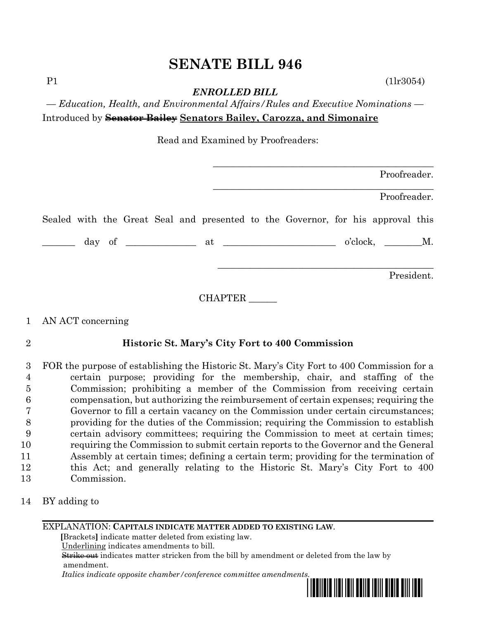# **SENATE BILL 946**

 $P1$  (1lr3054)

*ENROLLED BILL*

*— Education, Health, and Environmental Affairs/Rules and Executive Nominations —* Introduced by **Senator Bailey Senators Bailey, Carozza, and Simonaire**

Read and Examined by Proofreaders:

| Proofreader.                                                                                                                                                                                                                                                                                                                                                                                                                                       |
|----------------------------------------------------------------------------------------------------------------------------------------------------------------------------------------------------------------------------------------------------------------------------------------------------------------------------------------------------------------------------------------------------------------------------------------------------|
| Proofreader.                                                                                                                                                                                                                                                                                                                                                                                                                                       |
| Sealed with the Great Seal and presented to the Governor, for his approval this                                                                                                                                                                                                                                                                                                                                                                    |
| $o'clock,$ $M.$<br>$\frac{1}{\sqrt{1-\frac{1}{2}}}\frac{1}{\sqrt{1-\frac{1}{2}}}\frac{1}{\sqrt{1-\frac{1}{2}}}\frac{1}{\sqrt{1-\frac{1}{2}}}\frac{1}{\sqrt{1-\frac{1}{2}}}\frac{1}{\sqrt{1-\frac{1}{2}}}\frac{1}{\sqrt{1-\frac{1}{2}}}\frac{1}{\sqrt{1-\frac{1}{2}}}\frac{1}{\sqrt{1-\frac{1}{2}}}\frac{1}{\sqrt{1-\frac{1}{2}}}\frac{1}{\sqrt{1-\frac{1}{2}}}\frac{1}{\sqrt{1-\frac{1}{2}}}\frac{1}{\sqrt{1-\frac{1}{2}}}\frac{1}{\sqrt{1-\frac{$ |
| President.                                                                                                                                                                                                                                                                                                                                                                                                                                         |

CHAPTER \_\_\_\_\_\_

# 1 AN ACT concerning

# 2 **Historic St. Mary's City Fort to 400 Commission**

 FOR the purpose of establishing the Historic St. Mary's City Fort to 400 Commission for a certain purpose; providing for the membership, chair, and staffing of the Commission; prohibiting a member of the Commission from receiving certain compensation, but authorizing the reimbursement of certain expenses; requiring the Governor to fill a certain vacancy on the Commission under certain circumstances; providing for the duties of the Commission; requiring the Commission to establish certain advisory committees; requiring the Commission to meet at certain times; requiring the Commission to submit certain reports to the Governor and the General Assembly at certain times; defining a certain term; providing for the termination of this Act; and generally relating to the Historic St. Mary's City Fort to 400 Commission.

14 BY adding to

### EXPLANATION: **CAPITALS INDICATE MATTER ADDED TO EXISTING LAW**.

 **[**Brackets**]** indicate matter deleted from existing law.

Underlining indicates amendments to bill.

 Strike out indicates matter stricken from the bill by amendment or deleted from the law by amendment.

 *Italics indicate opposite chamber/conference committee amendments.*

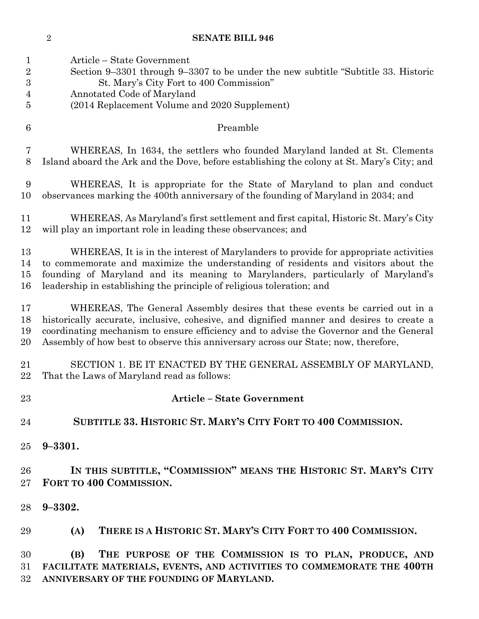| <b>SENATE BILL 946</b> |
|------------------------|
|                        |

 Article – State Government Section 9–3301 through 9–3307 to be under the new subtitle "Subtitle 33. Historic St. Mary's City Fort to 400 Commission" Annotated Code of Maryland (2014 Replacement Volume and 2020 Supplement) Preamble WHEREAS, In 1634, the settlers who founded Maryland landed at St. Clements Island aboard the Ark and the Dove, before establishing the colony at St. Mary's City; and WHEREAS, It is appropriate for the State of Maryland to plan and conduct observances marking the 400th anniversary of the founding of Maryland in 2034; and WHEREAS, As Maryland's first settlement and first capital, Historic St. Mary's City will play an important role in leading these observances; and WHEREAS, It is in the interest of Marylanders to provide for appropriate activities to commemorate and maximize the understanding of residents and visitors about the founding of Maryland and its meaning to Marylanders, particularly of Maryland's leadership in establishing the principle of religious toleration; and WHEREAS, The General Assembly desires that these events be carried out in a historically accurate, inclusive, cohesive, and dignified manner and desires to create a coordinating mechanism to ensure efficiency and to advise the Governor and the General Assembly of how best to observe this anniversary across our State; now, therefore, SECTION 1. BE IT ENACTED BY THE GENERAL ASSEMBLY OF MARYLAND, That the Laws of Maryland read as follows: **Article – State Government SUBTITLE 33. HISTORIC ST. MARY'S CITY FORT TO 400 COMMISSION. 9–3301. IN THIS SUBTITLE, "COMMISSION" MEANS THE HISTORIC ST. MARY'S CITY FORT TO 400 COMMISSION. 9–3302. (A) THERE IS A HISTORIC ST. MARY'S CITY FORT TO 400 COMMISSION. (B) THE PURPOSE OF THE COMMISSION IS TO PLAN, PRODUCE, AND FACILITATE MATERIALS, EVENTS, AND ACTIVITIES TO COMMEMORATE THE 400TH ANNIVERSARY OF THE FOUNDING OF MARYLAND.**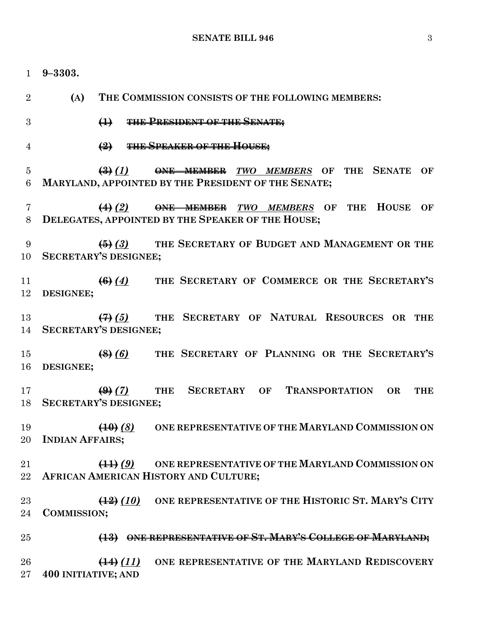**9–3303. (A) THE COMMISSION CONSISTS OF THE FOLLOWING MEMBERS: (1) THE PRESIDENT OF THE SENATE; (2) THE SPEAKER OF THE HOUSE; (3)** *(1)* **ONE MEMBER** *TWO MEMBERS* **OF THE SENATE OF MARYLAND, APPOINTED BY THE PRESIDENT OF THE SENATE; (4)** *(2)* **ONE MEMBER** *TWO MEMBERS* **OF THE HOUSE OF DELEGATES, APPOINTED BY THE SPEAKER OF THE HOUSE; (5)** *(3)* **THE SECRETARY OF BUDGET AND MANAGEMENT OR THE SECRETARY'S DESIGNEE; (6)** *(4)* **THE SECRETARY OF COMMERCE OR THE SECRETARY'S DESIGNEE; (7)** *(5)* **THE SECRETARY OF NATURAL RESOURCES OR THE SECRETARY'S DESIGNEE; (8)** *(6)* **THE SECRETARY OF PLANNING OR THE SECRETARY'S DESIGNEE; (9)** *(7)* **THE SECRETARY OF TRANSPORTATION OR THE SECRETARY'S DESIGNEE; (10)** *(8)* **ONE REPRESENTATIVE OF THE MARYLAND COMMISSION ON INDIAN AFFAIRS; (11)** *(9)* **ONE REPRESENTATIVE OF THE MARYLAND COMMISSION ON AFRICAN AMERICAN HISTORY AND CULTURE; (12)** *(10)* **ONE REPRESENTATIVE OF THE HISTORIC ST. MARY'S CITY COMMISSION; (13) ONE REPRESENTATIVE OF ST. MARY'S COLLEGE OF MARYLAND; (14)** *(11)* **ONE REPRESENTATIVE OF THE MARYLAND REDISCOVERY 400 INITIATIVE; AND**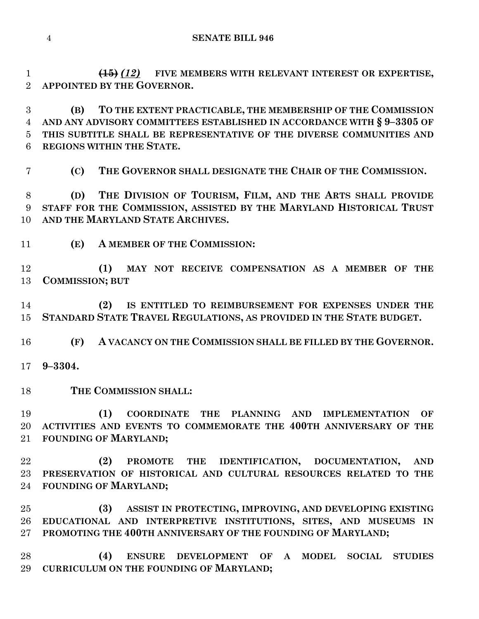**(15)** *(12)* **FIVE MEMBERS WITH RELEVANT INTEREST OR EXPERTISE, APPOINTED BY THE GOVERNOR.**

 **(B) TO THE EXTENT PRACTICABLE, THE MEMBERSHIP OF THE COMMISSION AND ANY ADVISORY COMMITTEES ESTABLISHED IN ACCORDANCE WITH § 9–3305 OF THIS SUBTITLE SHALL BE REPRESENTATIVE OF THE DIVERSE COMMUNITIES AND REGIONS WITHIN THE STATE.**

**(C) THE GOVERNOR SHALL DESIGNATE THE CHAIR OF THE COMMISSION.**

 **(D) THE DIVISION OF TOURISM, FILM, AND THE ARTS SHALL PROVIDE STAFF FOR THE COMMISSION, ASSISTED BY THE MARYLAND HISTORICAL TRUST AND THE MARYLAND STATE ARCHIVES.**

**(E) A MEMBER OF THE COMMISSION:**

 **(1) MAY NOT RECEIVE COMPENSATION AS A MEMBER OF THE COMMISSION; BUT**

 **(2) IS ENTITLED TO REIMBURSEMENT FOR EXPENSES UNDER THE STANDARD STATE TRAVEL REGULATIONS, AS PROVIDED IN THE STATE BUDGET.**

**(F) A VACANCY ON THE COMMISSION SHALL BE FILLED BY THE GOVERNOR.**

**9–3304.**

**THE COMMISSION SHALL:**

 **(1) COORDINATE THE PLANNING AND IMPLEMENTATION OF ACTIVITIES AND EVENTS TO COMMEMORATE THE 400TH ANNIVERSARY OF THE FOUNDING OF MARYLAND;**

 **(2) PROMOTE THE IDENTIFICATION, DOCUMENTATION, AND PRESERVATION OF HISTORICAL AND CULTURAL RESOURCES RELATED TO THE FOUNDING OF MARYLAND;**

 **(3) ASSIST IN PROTECTING, IMPROVING, AND DEVELOPING EXISTING EDUCATIONAL AND INTERPRETIVE INSTITUTIONS, SITES, AND MUSEUMS IN PROMOTING THE 400TH ANNIVERSARY OF THE FOUNDING OF MARYLAND;**

 **(4) ENSURE DEVELOPMENT OF A MODEL SOCIAL STUDIES CURRICULUM ON THE FOUNDING OF MARYLAND;**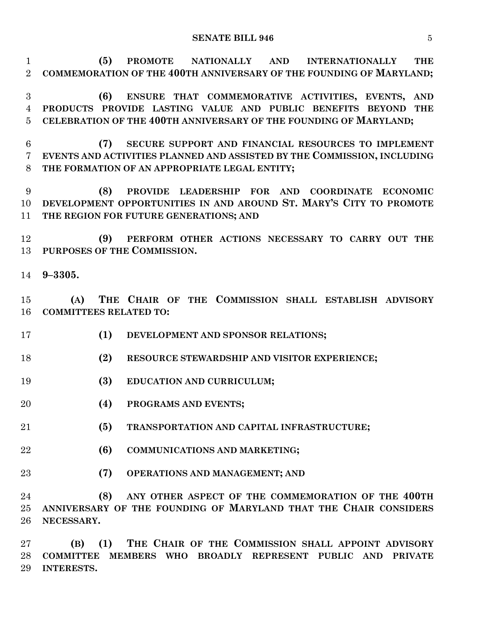#### **SENATE BILL 946** 5

 **(5) PROMOTE NATIONALLY AND INTERNATIONALLY THE COMMEMORATION OF THE 400TH ANNIVERSARY OF THE FOUNDING OF MARYLAND;**

 **(6) ENSURE THAT COMMEMORATIVE ACTIVITIES, EVENTS, AND PRODUCTS PROVIDE LASTING VALUE AND PUBLIC BENEFITS BEYOND THE CELEBRATION OF THE 400TH ANNIVERSARY OF THE FOUNDING OF MARYLAND;**

 **(7) SECURE SUPPORT AND FINANCIAL RESOURCES TO IMPLEMENT EVENTS AND ACTIVITIES PLANNED AND ASSISTED BY THE COMMISSION, INCLUDING THE FORMATION OF AN APPROPRIATE LEGAL ENTITY;**

 **(8) PROVIDE LEADERSHIP FOR AND COORDINATE ECONOMIC DEVELOPMENT OPPORTUNITIES IN AND AROUND ST. MARY'S CITY TO PROMOTE THE REGION FOR FUTURE GENERATIONS; AND**

 **(9) PERFORM OTHER ACTIONS NECESSARY TO CARRY OUT THE PURPOSES OF THE COMMISSION.**

**9–3305.**

 **(A) THE CHAIR OF THE COMMISSION SHALL ESTABLISH ADVISORY COMMITTEES RELATED TO:**

- **(1) DEVELOPMENT AND SPONSOR RELATIONS;**
- **(2) RESOURCE STEWARDSHIP AND VISITOR EXPERIENCE;**
- **(3) EDUCATION AND CURRICULUM;**
- **(4) PROGRAMS AND EVENTS;**
- **(5) TRANSPORTATION AND CAPITAL INFRASTRUCTURE;**
- **(6) COMMUNICATIONS AND MARKETING;**
- **(7) OPERATIONS AND MANAGEMENT; AND**

 **(8) ANY OTHER ASPECT OF THE COMMEMORATION OF THE 400TH ANNIVERSARY OF THE FOUNDING OF MARYLAND THAT THE CHAIR CONSIDERS NECESSARY.**

 **(B) (1) THE CHAIR OF THE COMMISSION SHALL APPOINT ADVISORY COMMITTEE MEMBERS WHO BROADLY REPRESENT PUBLIC AND PRIVATE INTERESTS.**